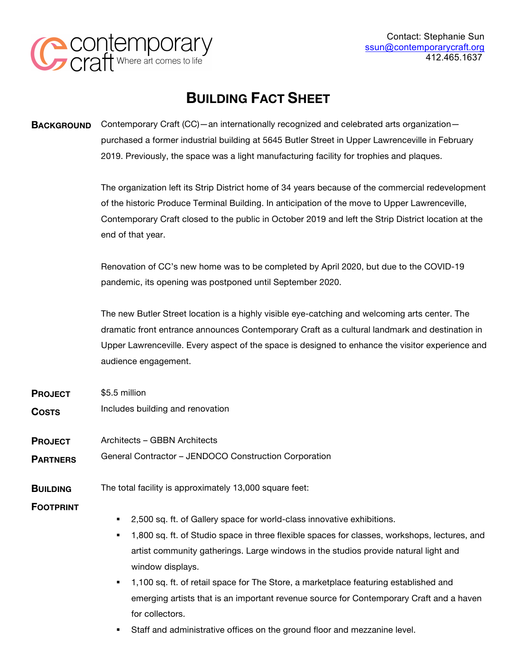

# **BUILDING FACT SHEET**

**BACKGROUND** Contemporary Craft (CC)—an internationally recognized and celebrated arts organization purchased a former industrial building at 5645 Butler Street in Upper Lawrenceville in February 2019. Previously, the space was a light manufacturing facility for trophies and plaques.

> The organization left its Strip District home of 34 years because of the commercial redevelopment of the historic Produce Terminal Building. In anticipation of the move to Upper Lawrenceville, Contemporary Craft closed to the public in October 2019 and left the Strip District location at the end of that year.

Renovation of CC's new home was to be completed by April 2020, but due to the COVID-19 pandemic, its opening was postponed until September 2020.

The new Butler Street location is a highly visible eye-catching and welcoming arts center. The dramatic front entrance announces Contemporary Craft as a cultural landmark and destination in Upper Lawrenceville. Every aspect of the space is designed to enhance the visitor experience and audience engagement.

- **PROJECT**  \$5.5 million
- **COSTS** Includes building and renovation
- **PROJECT**  Architects – GBBN Architects
- **PARTNERS** General Contractor – JENDOCO Construction Corporation
- **BUILDING**  The total facility is approximately 13,000 square feet:

**FOOTPRINT** 

- 2,500 sq. ft. of Gallery space for world-class innovative exhibitions.
- § 1,800 sq. ft. of Studio space in three flexible spaces for classes, workshops, lectures, and artist community gatherings. Large windows in the studios provide natural light and window displays.
- § 1,100 sq. ft. of retail space for The Store, a marketplace featuring established and emerging artists that is an important revenue source for Contemporary Craft and a haven for collectors.
- **•** Staff and administrative offices on the ground floor and mezzanine level.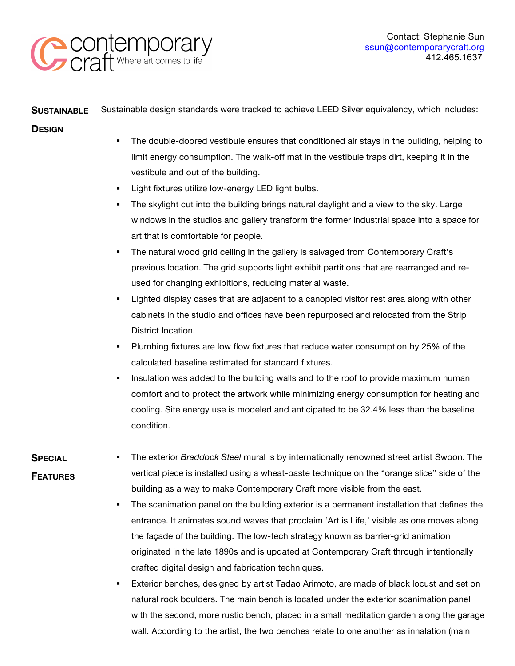

#### **SUSTAINABLE** Sustainable design standards were tracked to achieve LEED Silver equivalency, which includes:

### **DESIGN**

- The double-doored vestibule ensures that conditioned air stays in the building, helping to limit energy consumption. The walk-off mat in the vestibule traps dirt, keeping it in the vestibule and out of the building.
- Light fixtures utilize low-energy LED light bulbs.
- The skylight cut into the building brings natural daylight and a view to the sky. Large windows in the studios and gallery transform the former industrial space into a space for art that is comfortable for people.
- The natural wood grid ceiling in the gallery is salvaged from Contemporary Craft's previous location. The grid supports light exhibit partitions that are rearranged and reused for changing exhibitions, reducing material waste.
- Lighted display cases that are adjacent to a canopied visitor rest area along with other cabinets in the studio and offices have been repurposed and relocated from the Strip District location.
- **•** Plumbing fixtures are low flow fixtures that reduce water consumption by 25% of the calculated baseline estimated for standard fixtures.
- Insulation was added to the building walls and to the roof to provide maximum human comfort and to protect the artwork while minimizing energy consumption for heating and cooling. Site energy use is modeled and anticipated to be 32.4% less than the baseline condition.

### **SPECIAL**

## **FEATURES**

- § The exterior *Braddock Steel* mural is by internationally renowned street artist Swoon. The vertical piece is installed using a wheat-paste technique on the "orange slice" side of the building as a way to make Contemporary Craft more visible from the east.
- The scanimation panel on the building exterior is a permanent installation that defines the entrance. It animates sound waves that proclaim 'Art is Life,' visible as one moves along the façade of the building. The low-tech strategy known as barrier-grid animation originated in the late 1890s and is updated at Contemporary Craft through intentionally crafted digital design and fabrication techniques.
- Exterior benches, designed by artist Tadao Arimoto, are made of black locust and set on natural rock boulders. The main bench is located under the exterior scanimation panel with the second, more rustic bench, placed in a small meditation garden along the garage wall. According to the artist, the two benches relate to one another as inhalation (main